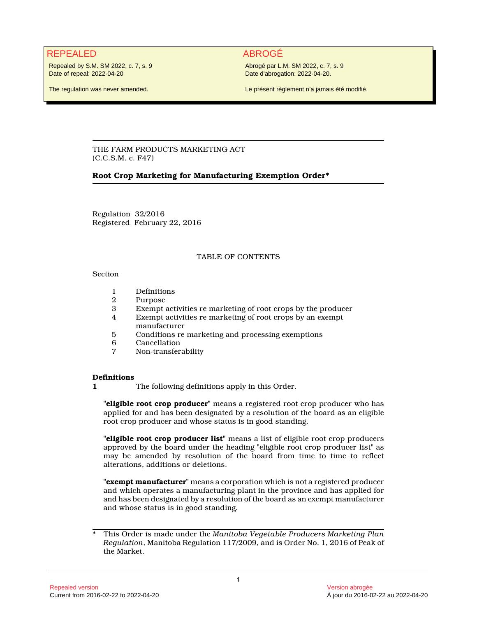# REPEALED ABROGÉ

Repealed by S.M. SM 2022, c. 7, s. 9 Date of repeal: 2022-04-20

Abrogé par L.M. SM 2022, c. 7, s. 9 Date d'abrogation: 2022-04-20.

The regulation was never amended.

Le présent règlement n'a jamais été modifié.

THE FARM PRODUCTS MARKETING ACT (C.C.S.M. c. F47)

### **Root Crop Marketing for Manufacturing Exemption Order\***

Regulation 32/2016 Registered February 22, 2016

### TABLE OF CONTENTS

#### Section

- 1 Definitions<br>2 Purpose
- 2 Purpose<br>3 Exempt
- 3 Exempt activities re marketing of root crops by the producer<br>4 Exempt activities re marketing of root crops by an exempt
- Exempt activities re marketing of root crops by an exempt manufacturer
- 5 Conditions re marketing and processing exemptions
- **Cancellation**
- 7 Non-transferability

## **Definitions**

**1** The following definitions apply in this Order.

**"eligible root crop producer"** means a registered root crop producer who has applied for and has been designated by a resolution of the board as an eligible root crop producer and whose status is in good standing.

**"eligible root crop producer list"** means a list of eligible root crop producers approved by the board under the heading "eligible root crop producer list" as may be amended by resolution of the board from time to time to reflect alterations, additions or deletions.

**"exempt manufacturer"** means a corporation which is not a registered producer and which operates a manufacturing plant in the province and has applied for and has been designated by a resolution of the board as an exempt manufacturer and whose status is in good standing.

<sup>\*</sup> This Order is made under the *Manitoba Vegetable Producers Marketing Plan Regulation*, Manitoba Regulation 117/2009, and is Order No. 1, 2016 of Peak of the Market.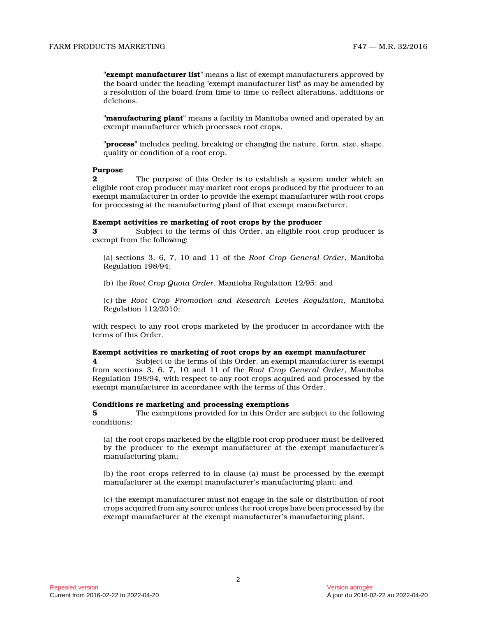**"exempt manufacturer list"** means a list of exempt manufacturers approved by the board under the heading "exempt manufacturer list" as may be amended by a resolution of the board from time to time to reflect alterations, additions or deletions.

**"manufacturing plant"** means a facility in Manitoba owned and operated by an exempt manufacturer which processes root crops.

**"process"** includes peeling, breaking or changing the nature, form, size, shape, quality or condition of a root crop.

#### **Purpose**

**2** The purpose of this Order is to establish a system under which an eligible root crop producer may market root crops produced by the producer to an exempt manufacturer in order to provide the exempt manufacturer with root crops for processing at the manufacturing plant of that exempt manufacturer.

#### **Exempt activities re marketing of root crops by the producer**

**3** Subject to the terms of this Order, an eligible root crop producer is exempt from the following:

(a) sections 3, 6, 7, 10 and 11 of the *Root Crop General Order*, Manitoba Regulation 198/94;

(b) the *Root Crop Quota Order*, Manitoba Regulation 12/95; and

(c) the *Root Crop Promotion and Research Levies Regulation*, Manitoba Regulation 112/2010;

with respect to any root crops marketed by the producer in accordance with the terms of this Order.

#### **Exempt activities re marketing of root crops by an exempt manufacturer**

**4** Subject to the terms of this Order, an exempt manufacturer is exempt from sections 3, 6, 7, 10 and 11 of the *Root Crop General Order*, Manitoba Regulation 198/94, with respect to any root crops acquired and processed by the exempt manufacturer in accordance with the terms of this Order.

#### **Conditions re marketing and processing exemptions**

**5** The exemptions provided for in this Order are subject to the following conditions:

(a) the root crops marketed by the eligible root crop producer must be delivered by the producer to the exempt manufacturer at the exempt manufacturer's manufacturing plant;

(b) the root crops referred to in clause (a) must be processed by the exempt manufacturer at the exempt manufacturer's manufacturing plant; and

(c) the exempt manufacturer must not engage in the sale or distribution of root crops acquired from any source unless the root crops have been processed by the exempt manufacturer at the exempt manufacturer's manufacturing plant.